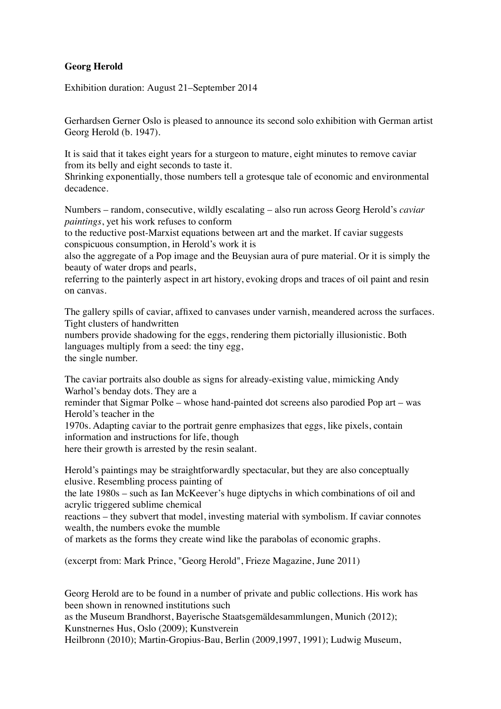## **Georg Herold**

Exhibition duration: August 21–September 2014

Gerhardsen Gerner Oslo is pleased to announce its second solo exhibition with German artist Georg Herold (b. 1947).

It is said that it takes eight years for a sturgeon to mature, eight minutes to remove caviar from its belly and eight seconds to taste it.

Shrinking exponentially, those numbers tell a grotesque tale of economic and environmental decadence.

Numbers – random, consecutive, wildly escalating – also run across Georg Herold's *caviar paintings*, yet his work refuses to conform

to the reductive post-Marxist equations between art and the market. If caviar suggests conspicuous consumption, in Herold's work it is

also the aggregate of a Pop image and the Beuysian aura of pure material. Or it is simply the beauty of water drops and pearls,

referring to the painterly aspect in art history, evoking drops and traces of oil paint and resin on canvas.

The gallery spills of caviar, affixed to canvases under varnish, meandered across the surfaces. Tight clusters of handwritten

numbers provide shadowing for the eggs, rendering them pictorially illusionistic. Both languages multiply from a seed: the tiny egg, the single number.

The caviar portraits also double as signs for already-existing value, mimicking Andy Warhol's benday dots. They are a

reminder that Sigmar Polke – whose hand-painted dot screens also parodied Pop art – was Herold's teacher in the

1970s. Adapting caviar to the portrait genre emphasizes that eggs, like pixels, contain information and instructions for life, though

here their growth is arrested by the resin sealant.

Herold's paintings may be straightforwardly spectacular, but they are also conceptually elusive. Resembling process painting of

the late 1980s – such as Ian McKeever's huge diptychs in which combinations of oil and acrylic triggered sublime chemical

reactions – they subvert that model, investing material with symbolism. If caviar connotes wealth, the numbers evoke the mumble

of markets as the forms they create wind like the parabolas of economic graphs.

(excerpt from: Mark Prince, "Georg Herold", Frieze Magazine, June 2011)

Georg Herold are to be found in a number of private and public collections. His work has been shown in renowned institutions such

as the Museum Brandhorst, Bayerische Staatsgemäldesammlungen, Munich (2012); Kunstnernes Hus, Oslo (2009); Kunstverein

Heilbronn (2010); Martin-Gropius-Bau, Berlin (2009,1997, 1991); Ludwig Museum,